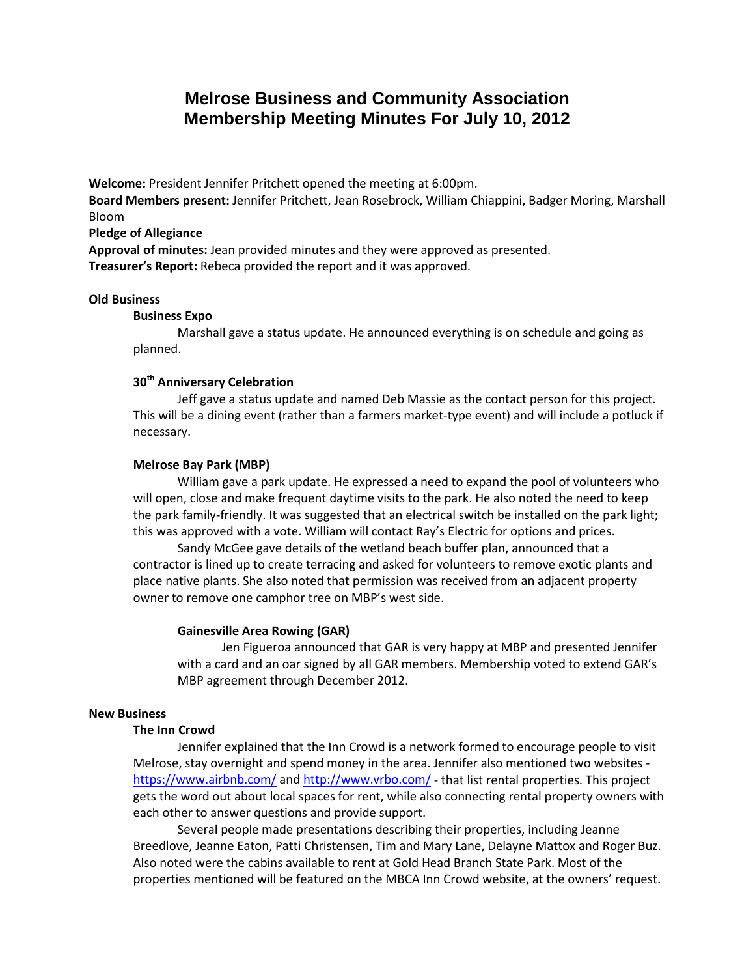# **Melrose Business and Community Association Membership Meeting Minutes For July 10, 2012**

**Welcome:** President Jennifer Pritchett opened the meeting at 6:00pm.

**Board Members present:** Jennifer Pritchett, Jean Rosebrock, William Chiappini, Badger Moring, Marshall Bloom

#### **Pledge of Allegiance**

**Approval of minutes:** Jean provided minutes and they were approved as presented. **Treasurer's Report:** Rebeca provided the report and it was approved.

#### **Old Business**

#### **Business Expo**

Marshall gave a status update. He announced everything is on schedule and going as planned.

# **30th Anniversary Celebration**

Jeff gave a status update and named Deb Massie as the contact person for this project. This will be a dining event (rather than a farmers market-type event) and will include a potluck if necessary.

#### **Melrose Bay Park (MBP)**

William gave a park update. He expressed a need to expand the pool of volunteers who will open, close and make frequent daytime visits to the park. He also noted the need to keep the park family-friendly. It was suggested that an electrical switch be installed on the park light; this was approved with a vote. William will contact Ray's Electric for options and prices.

Sandy McGee gave details of the wetland beach buffer plan, announced that a contractor is lined up to create terracing and asked for volunteers to remove exotic plants and place native plants. She also noted that permission was received from an adjacent property owner to remove one camphor tree on MBP's west side.

#### **Gainesville Area Rowing (GAR)**

Jen Figueroa announced that GAR is very happy at MBP and presented Jennifer with a card and an oar signed by all GAR members. Membership voted to extend GAR's MBP agreement through December 2012.

### **New Business**

### **The Inn Crowd**

Jennifer explained that the Inn Crowd is a network formed to encourage people to visit Melrose, stay overnight and spend money in the area. Jennifer also mentioned two websites <https://www.airbnb.com/> and<http://www.vrbo.com/> - that list rental properties. This project gets the word out about local spaces for rent, while also connecting rental property owners with each other to answer questions and provide support.

Several people made presentations describing their properties, including Jeanne Breedlove, Jeanne Eaton, Patti Christensen, Tim and Mary Lane, Delayne Mattox and Roger Buz. Also noted were the cabins available to rent at Gold Head Branch State Park. Most of the properties mentioned will be featured on the MBCA Inn Crowd website, at the owners' request.